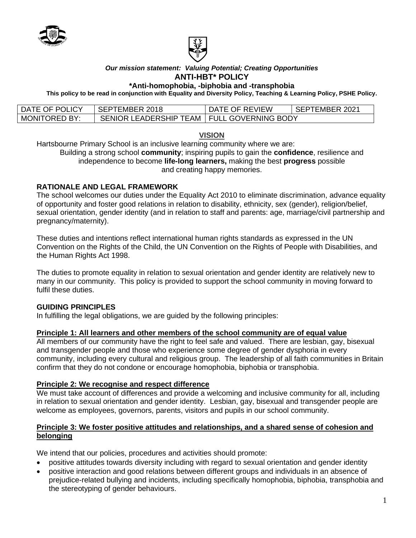



#### *Our mission statement: Valuing Potential; Creating Opportunities* **ANTI-HBT\* POLICY**

#### **\*Anti-homophobia, -biphobia and -transphobia**

**This policy to be read in conjunction with Equality and Diversity Policy, Teaching & Learning Policy, PSHE Policy.**

| DATE OF POLICY       | SEPTEMBER 2018                               | DATE OF REVIEW | <b>I SEPTEMBER 2021</b> |
|----------------------|----------------------------------------------|----------------|-------------------------|
| <b>MONITORED BY:</b> | SENIOR LEADERSHIP TEAM   FULL GOVERNING BODY |                |                         |

#### **VISION**

Hartsbourne Primary School is an inclusive learning community where we are: Building a strong school **community**; inspiring pupils to gain the **confidence**, resilience and independence to become **life-long learners,** making the best **progress** possible and creating happy memories.

# **RATIONALE AND LEGAL FRAMEWORK**

The school welcomes our duties under the Equality Act 2010 to eliminate discrimination, advance equality of opportunity and foster good relations in relation to disability, ethnicity, sex (gender), religion/belief, sexual orientation, gender identity (and in relation to staff and parents: age, marriage/civil partnership and pregnancy/maternity).

These duties and intentions reflect international human rights standards as expressed in the UN Convention on the Rights of the Child, the UN Convention on the Rights of People with Disabilities, and the Human Rights Act 1998.

The duties to promote equality in relation to sexual orientation and gender identity are relatively new to many in our community. This policy is provided to support the school community in moving forward to fulfil these duties.

### **GUIDING PRINCIPLES**

In fulfilling the legal obligations, we are guided by the following principles:

### **Principle 1: All learners and other members of the school community are of equal value**

All members of our community have the right to feel safe and valued. There are lesbian, gay, bisexual and transgender people and those who experience some degree of gender dysphoria in every community, including every cultural and religious group. The leadership of all faith communities in Britain confirm that they do not condone or encourage homophobia, biphobia or transphobia.

### **Principle 2: We recognise and respect difference**

We must take account of differences and provide a welcoming and inclusive community for all, including in relation to sexual orientation and gender identity. Lesbian, gay, bisexual and transgender people are welcome as employees, governors, parents, visitors and pupils in our school community.

### **Principle 3: We foster positive attitudes and relationships, and a shared sense of cohesion and belonging**

We intend that our policies, procedures and activities should promote:

- positive attitudes towards diversity including with regard to sexual orientation and gender identity
- positive interaction and good relations between different groups and individuals in an absence of prejudice-related bullying and incidents, including specifically homophobia, biphobia, transphobia and the stereotyping of gender behaviours.